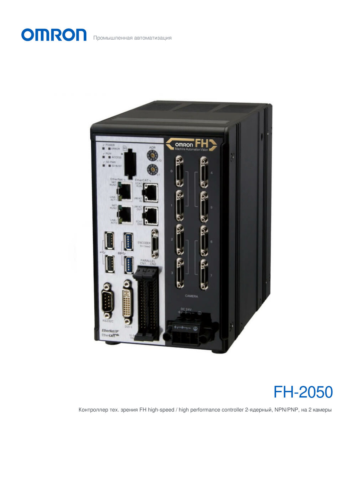



Контроллер тех. зрения FH high-speed / high performance controller 2-ядерный, NPN/PNP, на 2 камеры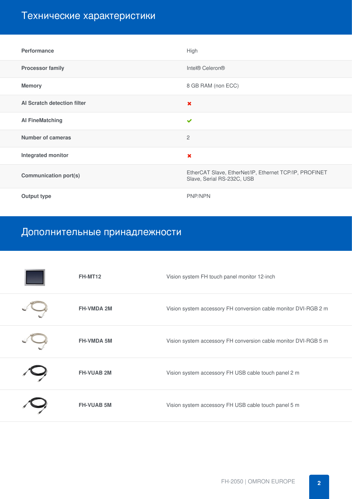# Технические характеристики

| <b>Performance</b>           | High                                                                                 |
|------------------------------|--------------------------------------------------------------------------------------|
| <b>Processor family</b>      | Intel® Celeron®                                                                      |
| <b>Memory</b>                | 8 GB RAM (non ECC)                                                                   |
| Al Scratch detection filter  | $\boldsymbol{\mathsf{x}}$                                                            |
| <b>Al FineMatching</b>       | $\checkmark$                                                                         |
| Number of cameras            | $\mathbf{2}$                                                                         |
| Integrated monitor           | $\boldsymbol{\times}$                                                                |
| <b>Communication port(s)</b> | EtherCAT Slave, EtherNet/IP, Ethernet TCP/IP, PROFINET<br>Slave, Serial RS-232C, USB |
| <b>Output type</b>           | PNP/NPN                                                                              |

# Дополнительные принадлежности

| FH-MT12           | Vision system FH touch panel monitor 12-inch                    |
|-------------------|-----------------------------------------------------------------|
| <b>FH-VMDA 2M</b> | Vision system accessory FH conversion cable monitor DVI-RGB 2 m |
| <b>FH-VMDA 5M</b> | Vision system accessory FH conversion cable monitor DVI-RGB 5 m |
| <b>FH-VUAB 2M</b> | Vision system accessory FH USB cable touch panel 2 m            |
| <b>FH-VUAB 5M</b> | Vision system accessory FH USB cable touch panel 5 m            |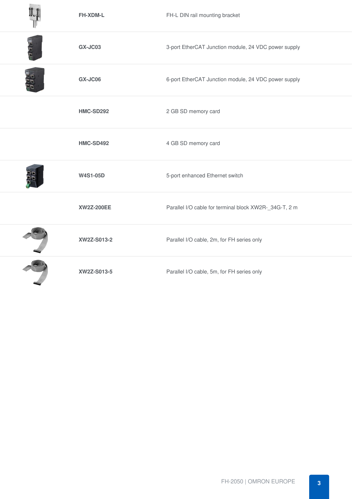|                             | <b>FH-XDM-L</b>   | FH-L DIN rail mounting bracket                         |
|-----------------------------|-------------------|--------------------------------------------------------|
| ill C C                     | <b>GX-JC03</b>    | 3-port EtherCAT Junction module, 24 VDC power supply   |
| $\frac{2}{5} \widetilde{L}$ | <b>GX-JC06</b>    | 6-port EtherCAT Junction module, 24 VDC power supply   |
|                             | HMC-SD292         | 2 GB SD memory card                                    |
|                             | <b>HMC-SD492</b>  | 4 GB SD memory card                                    |
|                             | <b>W4S1-05D</b>   | 5-port enhanced Ethernet switch                        |
|                             | <b>XW2Z-200EE</b> | Parallel I/O cable for terminal block XW2R-_34G-T, 2 m |
|                             | XW2Z-S013-2       | Parallel I/O cable, 2m, for FH series only             |
|                             | XW2Z-S013-5       | Parallel I/O cable, 5m, for FH series only             |